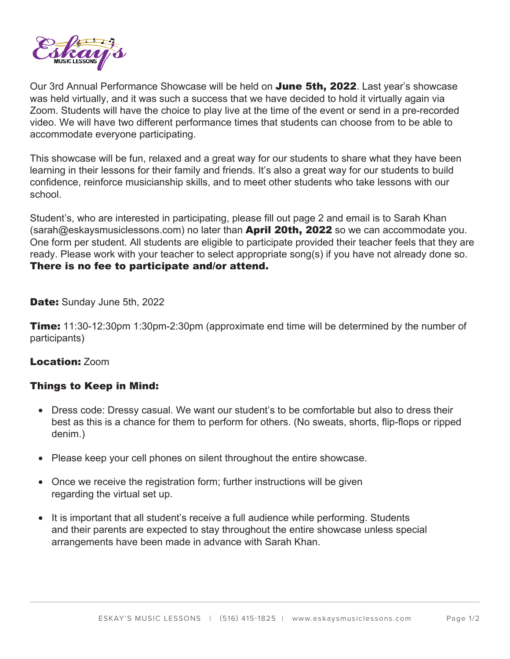

Our 3rd Annual Performance Showcase will be held on June 5th, 2022. Last year's showcase was held virtually, and it was such a success that we have decided to hold it virtually again via Zoom. Students will have the choice to play live at the time of the event or send in a pre-recorded video. We will have two different performance times that students can choose from to be able to accommodate everyone participating.

This showcase will be fun, relaxed and a great way for our students to share what they have been learning in their lessons for their family and friends. It's also a great way for our students to build confidence, reinforce musicianship skills, and to meet other students who take lessons with our school.

Student's, who are interested in participating, please fill out page 2 and email is to Sarah Khan (sarah@eskaysmusiclessons.com) no later than **April 20th, 2022** so we can accommodate you. One form per student. All students are eligible to participate provided their teacher feels that they are ready. Please work with your teacher to select appropriate song(s) if you have not already done so. There is no fee to participate and/or attend.

Date: Sunday June 5th, 2022

**Time:** 11:30-12:30pm 1:30pm-2:30pm (approximate end time will be determined by the number of participants)

## Location: Zoom

## Things to Keep in Mind:

- Dress code: Dressy casual. We want our student's to be comfortable but also to dress their best as this is a chance for them to perform for others. (No sweats, shorts, flip-flops or ripped denim.)
- Please keep your cell phones on silent throughout the entire showcase.
- Once we receive the registration form; further instructions will be given regarding the virtual set up.
- It is important that all student's receive a full audience while performing. Students and their parents are expected to stay throughout the entire showcase unless special arrangements have been made in advance with Sarah Khan.